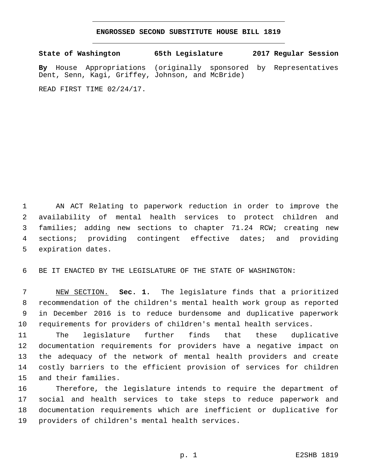## **ENGROSSED SECOND SUBSTITUTE HOUSE BILL 1819**

**State of Washington 65th Legislature 2017 Regular Session**

**By** House Appropriations (originally sponsored by Representatives Dent, Senn, Kagi, Griffey, Johnson, and McBride)

READ FIRST TIME 02/24/17.

 AN ACT Relating to paperwork reduction in order to improve the availability of mental health services to protect children and families; adding new sections to chapter 71.24 RCW; creating new sections; providing contingent effective dates; and providing 5 expiration dates.

BE IT ENACTED BY THE LEGISLATURE OF THE STATE OF WASHINGTON:

 NEW SECTION. **Sec. 1.** The legislature finds that a prioritized recommendation of the children's mental health work group as reported in December 2016 is to reduce burdensome and duplicative paperwork requirements for providers of children's mental health services.

 The legislature further finds that these duplicative documentation requirements for providers have a negative impact on the adequacy of the network of mental health providers and create costly barriers to the efficient provision of services for children 15 and their families.

 Therefore, the legislature intends to require the department of social and health services to take steps to reduce paperwork and documentation requirements which are inefficient or duplicative for 19 providers of children's mental health services.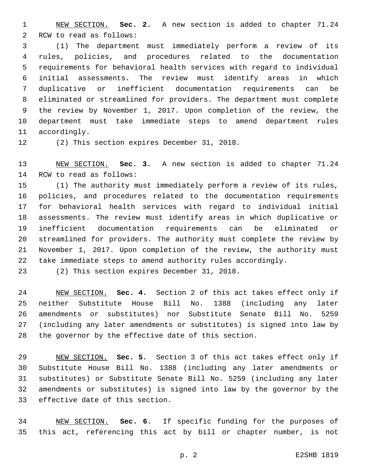NEW SECTION. **Sec. 2.** A new section is added to chapter 71.24 2 RCW to read as follows:

 (1) The department must immediately perform a review of its rules, policies, and procedures related to the documentation requirements for behavioral health services with regard to individual initial assessments. The review must identify areas in which duplicative or inefficient documentation requirements can be eliminated or streamlined for providers. The department must complete the review by November 1, 2017. Upon completion of the review, the department must take immediate steps to amend department rules 11 accordingly.

12 (2) This section expires December 31, 2018.

 NEW SECTION. **Sec. 3.** A new section is added to chapter 71.24 14 RCW to read as follows:

 (1) The authority must immediately perform a review of its rules, policies, and procedures related to the documentation requirements for behavioral health services with regard to individual initial assessments. The review must identify areas in which duplicative or inefficient documentation requirements can be eliminated or streamlined for providers. The authority must complete the review by November 1, 2017. Upon completion of the review, the authority must take immediate steps to amend authority rules accordingly.

23 (2) This section expires December 31, 2018.

 NEW SECTION. **Sec. 4.** Section 2 of this act takes effect only if neither Substitute House Bill No. 1388 (including any later amendments or substitutes) nor Substitute Senate Bill No. 5259 (including any later amendments or substitutes) is signed into law by the governor by the effective date of this section.

 NEW SECTION. **Sec. 5.** Section 3 of this act takes effect only if Substitute House Bill No. 1388 (including any later amendments or substitutes) or Substitute Senate Bill No. 5259 (including any later amendments or substitutes) is signed into law by the governor by the effective date of this section.

 NEW SECTION. **Sec. 6.** If specific funding for the purposes of this act, referencing this act by bill or chapter number, is not